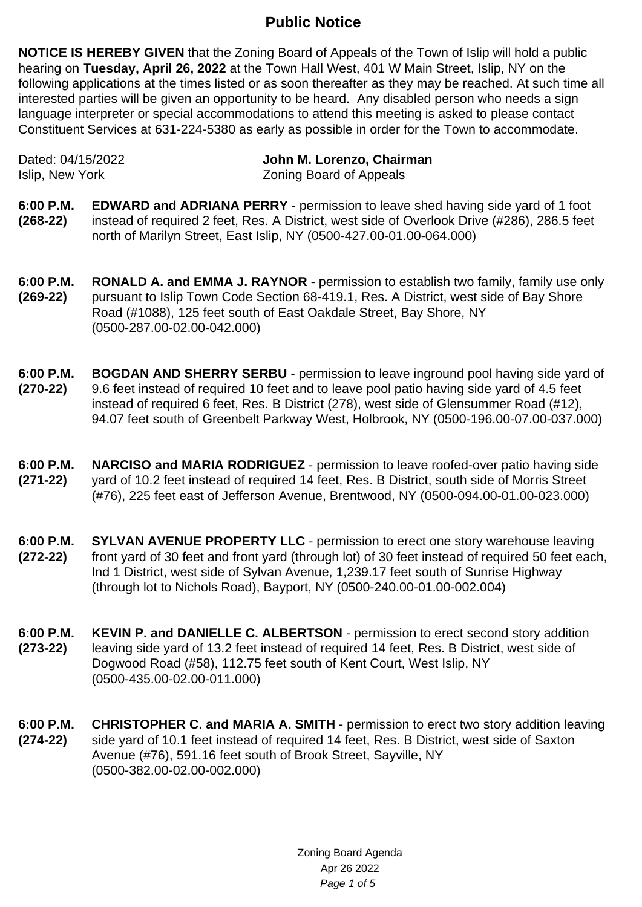## **Public Notice**

**NOTICE IS HEREBY GIVEN** that the Zoning Board of Appeals of the Town of Islip will hold a public hearing on **Tuesday, April 26, 2022** at the Town Hall West, 401 W Main Street, Islip, NY on the following applications at the times listed or as soon thereafter as they may be reached. At such time all interested parties will be given an opportunity to be heard. Any disabled person who needs a sign language interpreter or special accommodations to attend this meeting is asked to please contact Constituent Services at 631-224-5380 as early as possible in order for the Town to accommodate.

Dated: 04/15/2022 **John M. Lorenzo, Chairman** Islip, New York **Zoning Board of Appeals** 

- **6:00 P.M. (268-22) EDWARD and ADRIANA PERRY** - permission to leave shed having side yard of 1 foot instead of required 2 feet, Res. A District, west side of Overlook Drive (#286), 286.5 feet north of Marilyn Street, East Islip, NY (0500-427.00-01.00-064.000)
- **6:00 P.M. (269-22) RONALD A. and EMMA J. RAYNOR** - permission to establish two family, family use only pursuant to Islip Town Code Section 68-419.1, Res. A District, west side of Bay Shore Road (#1088), 125 feet south of East Oakdale Street, Bay Shore, NY (0500-287.00-02.00-042.000)
- **6:00 P.M. (270-22) BOGDAN AND SHERRY SERBU** - permission to leave inground pool having side yard of 9.6 feet instead of required 10 feet and to leave pool patio having side yard of 4.5 feet instead of required 6 feet, Res. B District (278), west side of Glensummer Road (#12), 94.07 feet south of Greenbelt Parkway West, Holbrook, NY (0500-196.00-07.00-037.000)
- **6:00 P.M. (271-22) NARCISO and MARIA RODRIGUEZ** - permission to leave roofed-over patio having side yard of 10.2 feet instead of required 14 feet, Res. B District, south side of Morris Street (#76), 225 feet east of Jefferson Avenue, Brentwood, NY (0500-094.00-01.00-023.000)
- **6:00 P.M. (272-22) SYLVAN AVENUE PROPERTY LLC** - permission to erect one story warehouse leaving front yard of 30 feet and front yard (through lot) of 30 feet instead of required 50 feet each, Ind 1 District, west side of Sylvan Avenue, 1,239.17 feet south of Sunrise Highway (through lot to Nichols Road), Bayport, NY (0500-240.00-01.00-002.004)
- **6:00 P.M. (273-22) KEVIN P. and DANIELLE C. ALBERTSON** - permission to erect second story addition leaving side yard of 13.2 feet instead of required 14 feet, Res. B District, west side of Dogwood Road (#58), 112.75 feet south of Kent Court, West Islip, NY (0500-435.00-02.00-011.000)
- **6:00 P.M. (274-22) CHRISTOPHER C. and MARIA A. SMITH** - permission to erect two story addition leaving side yard of 10.1 feet instead of required 14 feet, Res. B District, west side of Saxton Avenue (#76), 591.16 feet south of Brook Street, Sayville, NY (0500-382.00-02.00-002.000)

Zoning Board Agenda Apr 26 2022 Page 1 of 5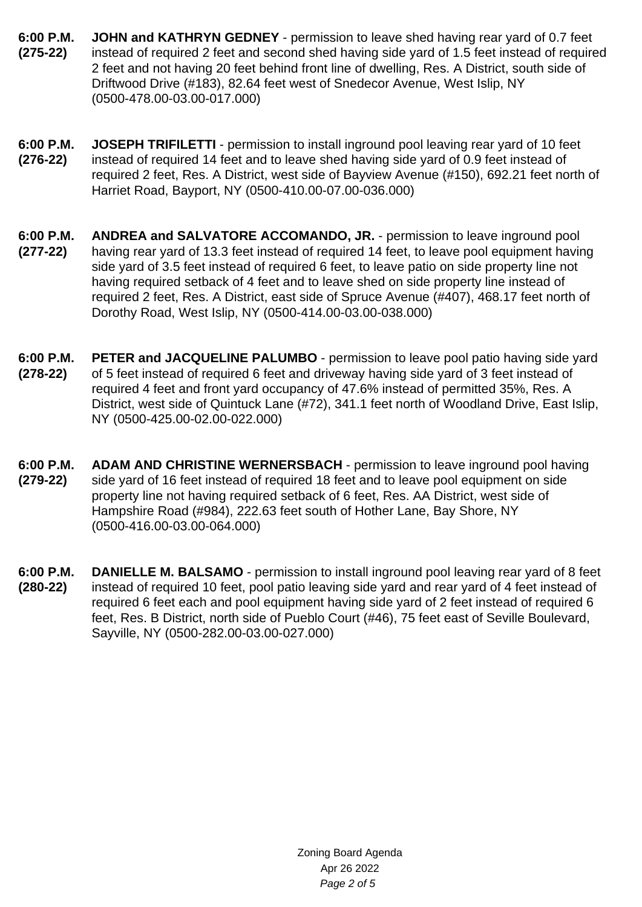- **6:00 P.M. (275-22) JOHN and KATHRYN GEDNEY** - permission to leave shed having rear yard of 0.7 feet instead of required 2 feet and second shed having side yard of 1.5 feet instead of required 2 feet and not having 20 feet behind front line of dwelling, Res. A District, south side of Driftwood Drive (#183), 82.64 feet west of Snedecor Avenue, West Islip, NY (0500-478.00-03.00-017.000)
- **6:00 P.M. (276-22) JOSEPH TRIFILETTI** - permission to install inground pool leaving rear yard of 10 feet instead of required 14 feet and to leave shed having side yard of 0.9 feet instead of required 2 feet, Res. A District, west side of Bayview Avenue (#150), 692.21 feet north of Harriet Road, Bayport, NY (0500-410.00-07.00-036.000)
- **6:00 P.M. (277-22) ANDREA and SALVATORE ACCOMANDO, JR.** - permission to leave inground pool having rear yard of 13.3 feet instead of required 14 feet, to leave pool equipment having side yard of 3.5 feet instead of required 6 feet, to leave patio on side property line not having required setback of 4 feet and to leave shed on side property line instead of required 2 feet, Res. A District, east side of Spruce Avenue (#407), 468.17 feet north of Dorothy Road, West Islip, NY (0500-414.00-03.00-038.000)
- **6:00 P.M. (278-22) PETER and JACQUELINE PALUMBO** - permission to leave pool patio having side yard of 5 feet instead of required 6 feet and driveway having side yard of 3 feet instead of required 4 feet and front yard occupancy of 47.6% instead of permitted 35%, Res. A District, west side of Quintuck Lane (#72), 341.1 feet north of Woodland Drive, East Islip, NY (0500-425.00-02.00-022.000)
- **6:00 P.M. (279-22) ADAM AND CHRISTINE WERNERSBACH** - permission to leave inground pool having side yard of 16 feet instead of required 18 feet and to leave pool equipment on side property line not having required setback of 6 feet, Res. AA District, west side of Hampshire Road (#984), 222.63 feet south of Hother Lane, Bay Shore, NY (0500-416.00-03.00-064.000)
- **6:00 P.M. (280-22) DANIELLE M. BALSAMO** - permission to install inground pool leaving rear yard of 8 feet instead of required 10 feet, pool patio leaving side yard and rear yard of 4 feet instead of required 6 feet each and pool equipment having side yard of 2 feet instead of required 6 feet, Res. B District, north side of Pueblo Court (#46), 75 feet east of Seville Boulevard, Sayville, NY (0500-282.00-03.00-027.000)

Zoning Board Agenda Apr 26 2022 Page 2 of 5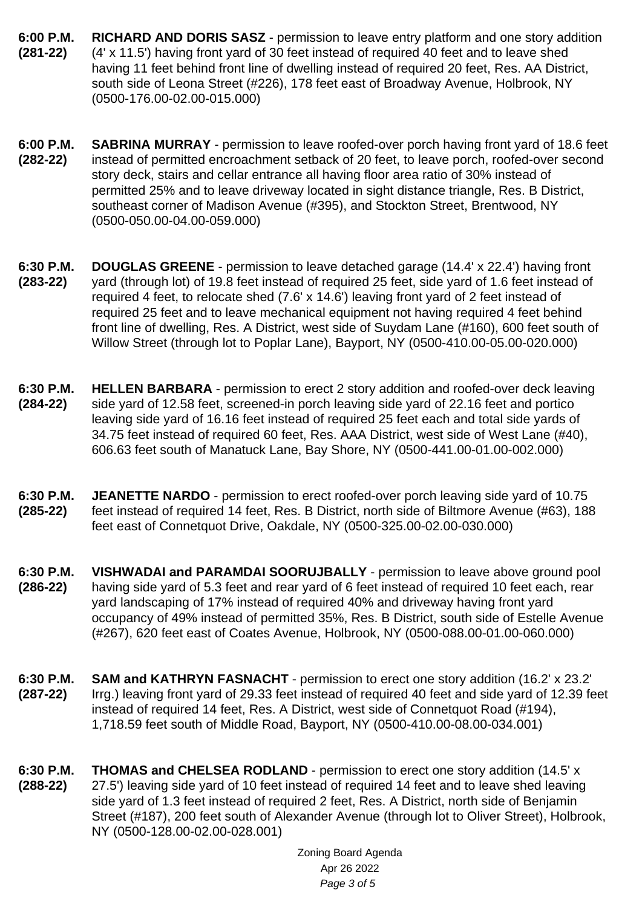- **6:00 P.M. (281-22) RICHARD AND DORIS SASZ** - permission to leave entry platform and one story addition (4' x 11.5') having front yard of 30 feet instead of required 40 feet and to leave shed having 11 feet behind front line of dwelling instead of required 20 feet, Res. AA District, south side of Leona Street (#226), 178 feet east of Broadway Avenue, Holbrook, NY (0500-176.00-02.00-015.000)
- **6:00 P.M. (282-22) SABRINA MURRAY** - permission to leave roofed-over porch having front yard of 18.6 feet instead of permitted encroachment setback of 20 feet, to leave porch, roofed-over second story deck, stairs and cellar entrance all having floor area ratio of 30% instead of permitted 25% and to leave driveway located in sight distance triangle, Res. B District, southeast corner of Madison Avenue (#395), and Stockton Street, Brentwood, NY (0500-050.00-04.00-059.000)
- **6:30 P.M. (283-22) DOUGLAS GREENE** - permission to leave detached garage (14.4' x 22.4') having front yard (through lot) of 19.8 feet instead of required 25 feet, side yard of 1.6 feet instead of required 4 feet, to relocate shed (7.6' x 14.6') leaving front yard of 2 feet instead of required 25 feet and to leave mechanical equipment not having required 4 feet behind front line of dwelling, Res. A District, west side of Suydam Lane (#160), 600 feet south of Willow Street (through lot to Poplar Lane), Bayport, NY (0500-410.00-05.00-020.000)
- **6:30 P.M. (284-22) HELLEN BARBARA** - permission to erect 2 story addition and roofed-over deck leaving side yard of 12.58 feet, screened-in porch leaving side yard of 22.16 feet and portico leaving side yard of 16.16 feet instead of required 25 feet each and total side yards of 34.75 feet instead of required 60 feet, Res. AAA District, west side of West Lane (#40), 606.63 feet south of Manatuck Lane, Bay Shore, NY (0500-441.00-01.00-002.000)
- **6:30 P.M. (285-22) JEANETTE NARDO** - permission to erect roofed-over porch leaving side yard of 10.75 feet instead of required 14 feet, Res. B District, north side of Biltmore Avenue (#63), 188 feet east of Connetquot Drive, Oakdale, NY (0500-325.00-02.00-030.000)
- **6:30 P.M. (286-22) VISHWADAI and PARAMDAI SOORUJBALLY** - permission to leave above ground pool having side yard of 5.3 feet and rear yard of 6 feet instead of required 10 feet each, rear yard landscaping of 17% instead of required 40% and driveway having front yard occupancy of 49% instead of permitted 35%, Res. B District, south side of Estelle Avenue (#267), 620 feet east of Coates Avenue, Holbrook, NY (0500-088.00-01.00-060.000)
- **6:30 P.M. (287-22) SAM and KATHRYN FASNACHT** - permission to erect one story addition (16.2' x 23.2' Irrg.) leaving front yard of 29.33 feet instead of required 40 feet and side yard of 12.39 feet instead of required 14 feet, Res. A District, west side of Connetquot Road (#194), 1,718.59 feet south of Middle Road, Bayport, NY (0500-410.00-08.00-034.001)
- **6:30 P.M. (288-22) THOMAS and CHELSEA RODLAND** - permission to erect one story addition (14.5' x 27.5') leaving side yard of 10 feet instead of required 14 feet and to leave shed leaving side yard of 1.3 feet instead of required 2 feet, Res. A District, north side of Benjamin Street (#187), 200 feet south of Alexander Avenue (through lot to Oliver Street), Holbrook, NY (0500-128.00-02.00-028.001)

Zoning Board Agenda Apr 26 2022 Page 3 of 5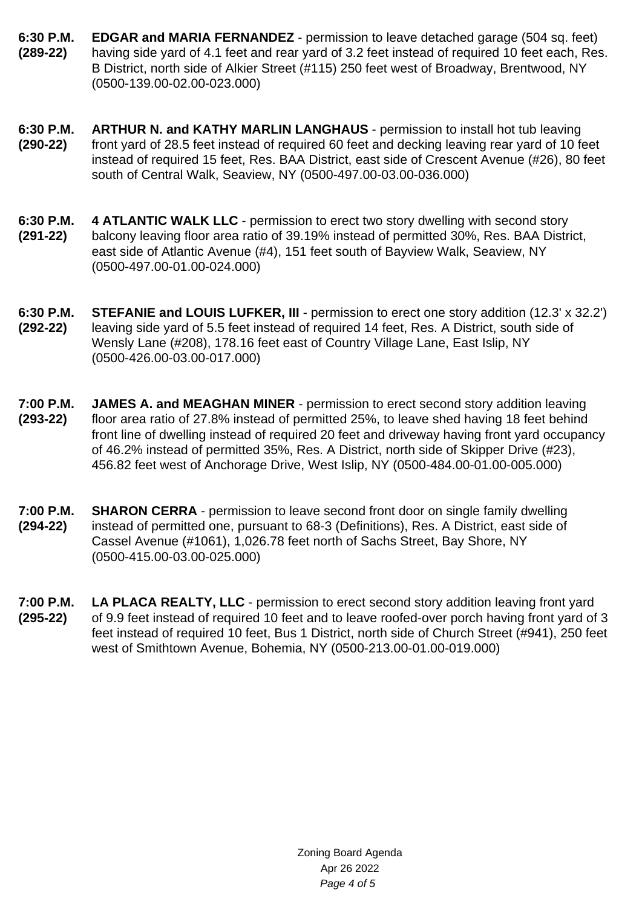- **6:30 P.M. (289-22) EDGAR and MARIA FERNANDEZ** - permission to leave detached garage (504 sq. feet) having side yard of 4.1 feet and rear yard of 3.2 feet instead of required 10 feet each, Res. B District, north side of Alkier Street (#115) 250 feet west of Broadway, Brentwood, NY (0500-139.00-02.00-023.000)
- **6:30 P.M. (290-22) ARTHUR N. and KATHY MARLIN LANGHAUS** - permission to install hot tub leaving front yard of 28.5 feet instead of required 60 feet and decking leaving rear yard of 10 feet instead of required 15 feet, Res. BAA District, east side of Crescent Avenue (#26), 80 feet south of Central Walk, Seaview, NY (0500-497.00-03.00-036.000)
- **6:30 P.M. (291-22) 4 ATLANTIC WALK LLC** - permission to erect two story dwelling with second story balcony leaving floor area ratio of 39.19% instead of permitted 30%, Res. BAA District, east side of Atlantic Avenue (#4), 151 feet south of Bayview Walk, Seaview, NY (0500-497.00-01.00-024.000)
- **6:30 P.M. (292-22) STEFANIE and LOUIS LUFKER, III** - permission to erect one story addition (12.3' x 32.2') leaving side yard of 5.5 feet instead of required 14 feet, Res. A District, south side of Wensly Lane (#208), 178.16 feet east of Country Village Lane, East Islip, NY (0500-426.00-03.00-017.000)
- **7:00 P.M. (293-22) JAMES A. and MEAGHAN MINER** - permission to erect second story addition leaving floor area ratio of 27.8% instead of permitted 25%, to leave shed having 18 feet behind front line of dwelling instead of required 20 feet and driveway having front yard occupancy of 46.2% instead of permitted 35%, Res. A District, north side of Skipper Drive (#23), 456.82 feet west of Anchorage Drive, West Islip, NY (0500-484.00-01.00-005.000)
- **7:00 P.M. (294-22) SHARON CERRA** - permission to leave second front door on single family dwelling instead of permitted one, pursuant to 68-3 (Definitions), Res. A District, east side of Cassel Avenue (#1061), 1,026.78 feet north of Sachs Street, Bay Shore, NY (0500-415.00-03.00-025.000)
- **7:00 P.M. (295-22) LA PLACA REALTY, LLC** - permission to erect second story addition leaving front yard of 9.9 feet instead of required 10 feet and to leave roofed-over porch having front yard of 3 feet instead of required 10 feet, Bus 1 District, north side of Church Street (#941), 250 feet west of Smithtown Avenue, Bohemia, NY (0500-213.00-01.00-019.000)

Zoning Board Agenda Apr 26 2022 Page 4 of 5